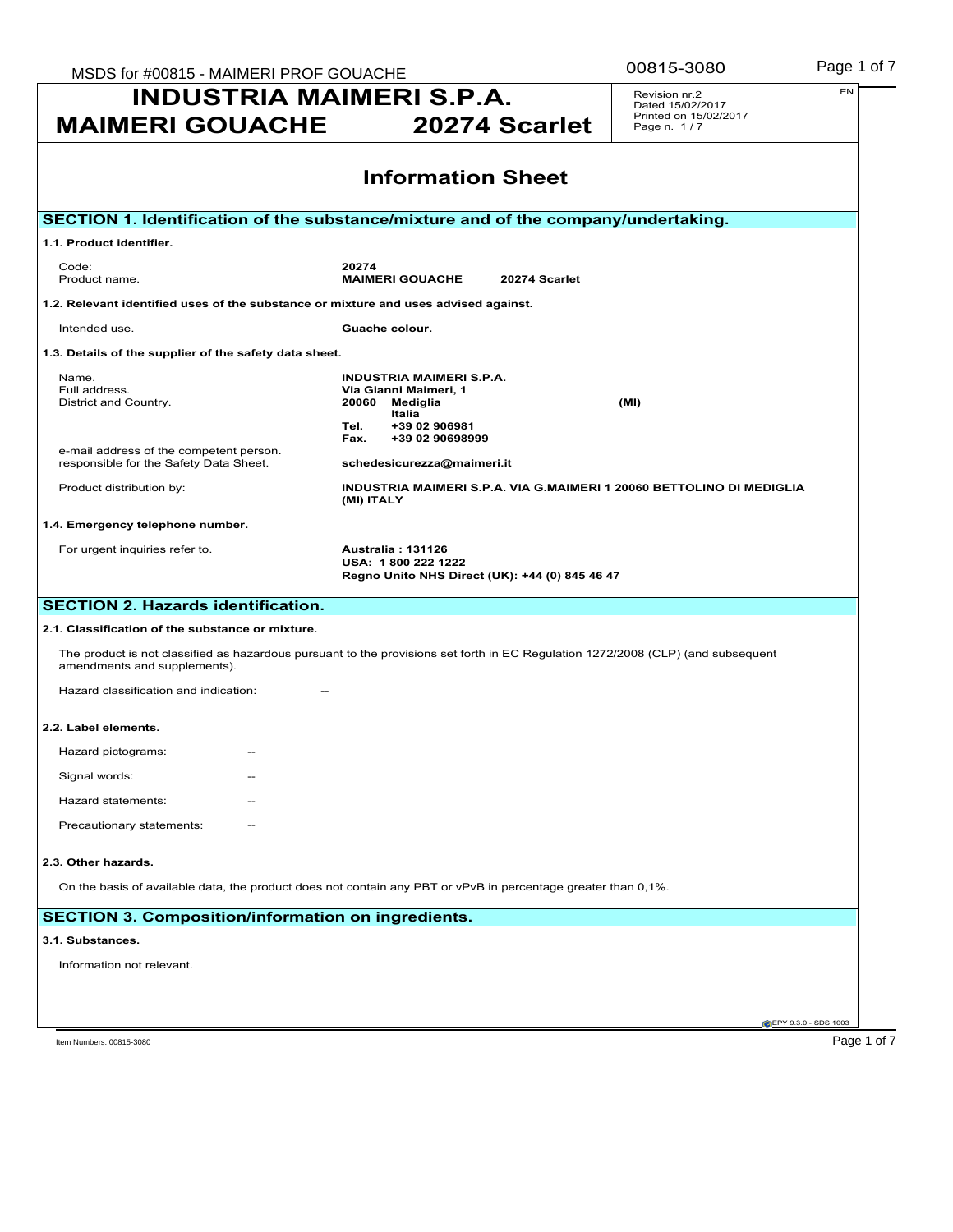| MSDS for #00815 - MAIMERI PROF GOUACHE<br><b>INDUSTRIA MAIMERI S.P.A.</b>                                                                                        |                                                                                                               | 00815-3080                                                           | Page 1 of 7          |
|------------------------------------------------------------------------------------------------------------------------------------------------------------------|---------------------------------------------------------------------------------------------------------------|----------------------------------------------------------------------|----------------------|
|                                                                                                                                                                  |                                                                                                               | Revision nr.2<br>Dated 15/02/2017<br>Printed on 15/02/2017           | EN                   |
| <b>MAIMERI GOUACHE</b>                                                                                                                                           | 20274 Scarlet                                                                                                 | Page n. 1/7                                                          |                      |
|                                                                                                                                                                  | <b>Information Sheet</b>                                                                                      |                                                                      |                      |
| SECTION 1. Identification of the substance/mixture and of the company/undertaking.                                                                               |                                                                                                               |                                                                      |                      |
| 1.1. Product identifier.                                                                                                                                         |                                                                                                               |                                                                      |                      |
| Code:<br>Product name.                                                                                                                                           | 20274<br><b>MAIMERI GOUACHE</b><br>20274 Scarlet                                                              |                                                                      |                      |
| 1.2. Relevant identified uses of the substance or mixture and uses advised against.                                                                              |                                                                                                               |                                                                      |                      |
| Intended use.                                                                                                                                                    | Guache colour.                                                                                                |                                                                      |                      |
| 1.3. Details of the supplier of the safety data sheet.                                                                                                           |                                                                                                               |                                                                      |                      |
| Name.<br>Full address.<br>District and Country.                                                                                                                  | <b>INDUSTRIA MAIMERI S.P.A.</b><br>Via Gianni Maimeri, 1<br>20060 Mediglia<br>Italia<br>Tel.<br>+39 02 906981 | (MI)                                                                 |                      |
| e-mail address of the competent person.<br>responsible for the Safety Data Sheet.                                                                                | +39 02 90698999<br>Fax.<br>schedesicurezza@maimeri.it                                                         |                                                                      |                      |
| Product distribution by:                                                                                                                                         | (MI) ITALY                                                                                                    | INDUSTRIA MAIMERI S.P.A. VIA G.MAIMERI 1 20060 BETTOLINO DI MEDIGLIA |                      |
| 1.4. Emergency telephone number.                                                                                                                                 |                                                                                                               |                                                                      |                      |
| For urgent inquiries refer to.                                                                                                                                   | <b>Australia: 131126</b><br>USA: 1800 222 1222<br>Regno Unito NHS Direct (UK): +44 (0) 845 46 47              |                                                                      |                      |
| <b>SECTION 2. Hazards identification.</b>                                                                                                                        |                                                                                                               |                                                                      |                      |
| 2.1. Classification of the substance or mixture.                                                                                                                 |                                                                                                               |                                                                      |                      |
| The product is not classified as hazardous pursuant to the provisions set forth in EC Regulation 1272/2008 (CLP) (and subsequent<br>amendments and supplements). |                                                                                                               |                                                                      |                      |
| Hazard classification and indication:                                                                                                                            |                                                                                                               |                                                                      |                      |
| 2.2. Label elements.                                                                                                                                             |                                                                                                               |                                                                      |                      |
| Hazard pictograms:                                                                                                                                               |                                                                                                               |                                                                      |                      |
| Signal words:                                                                                                                                                    |                                                                                                               |                                                                      |                      |
| Hazard statements:                                                                                                                                               |                                                                                                               |                                                                      |                      |
| Precautionary statements:                                                                                                                                        |                                                                                                               |                                                                      |                      |
| 2.3. Other hazards.                                                                                                                                              |                                                                                                               |                                                                      |                      |
| On the basis of available data, the product does not contain any PBT or vPvB in percentage greater than 0,1%.                                                    |                                                                                                               |                                                                      |                      |
| <b>SECTION 3. Composition/information on ingredients.</b>                                                                                                        |                                                                                                               |                                                                      |                      |
| 3.1. Substances.                                                                                                                                                 |                                                                                                               |                                                                      |                      |
| Information not relevant.                                                                                                                                        |                                                                                                               |                                                                      |                      |
|                                                                                                                                                                  |                                                                                                               |                                                                      |                      |
|                                                                                                                                                                  |                                                                                                               |                                                                      | EPY 9.3.0 - SDS 1003 |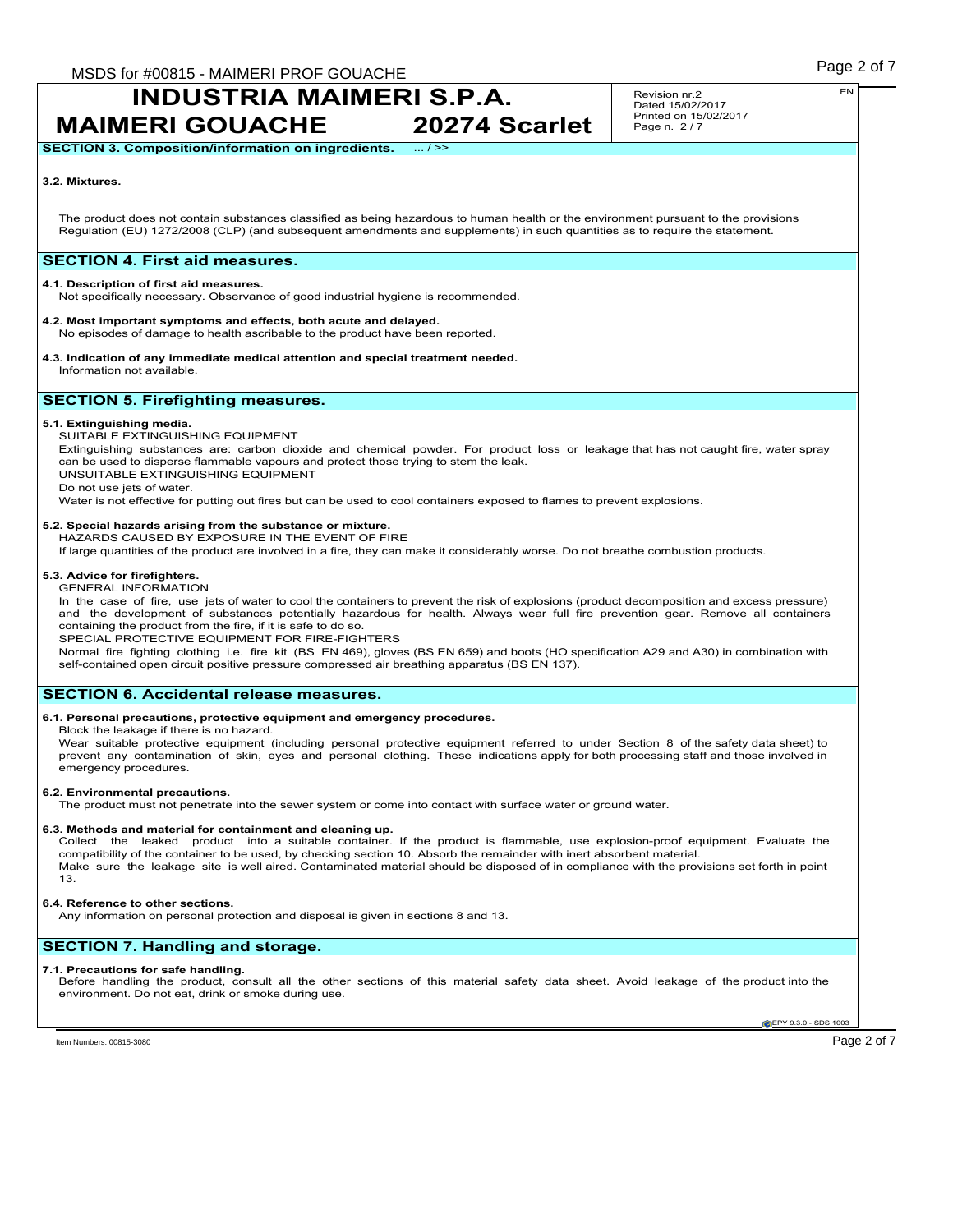**MAIMERI GOUACHE 20274 Scarlet**

Revision nr.2 Dated 15/02/2017 Printed on 15/02/2017 Page n. 2 / 7

**SECTION 3. Composition/information on ingredients.** 

### **3.2. Mixtures.**

The product does not contain substances classified as being hazardous to human health or the environment pursuant to the provisions Regulation (EU) 1272/2008 (CLP) (and subsequent amendments and supplements) in such quantities as to require the statement.

### **SECTION 4. First aid measures.**

### **4.1. Description of first aid measures.**

Not specifically necessary. Observance of good industrial hygiene is recommended.

#### **4.2. Most important symptoms and effects, both acute and delayed.**

No episodes of damage to health ascribable to the product have been reported.

#### **4.3. Indication of any immediate medical attention and special treatment needed.** Information not available.

## **SECTION 5. Firefighting measures.**

#### **5.1. Extinguishing media.**

SUITABLE EXTINGUISHING EQUIPMENT

Extinguishing substances are: carbon dioxide and chemical powder. For product loss or leakage that has not caught fire, water spray can be used to disperse flammable vapours and protect those trying to stem the leak.

UNSUITABLE EXTINGUISHING EQUIPMENT

Do not use jets of water.

Water is not effective for putting out fires but can be used to cool containers exposed to flames to prevent explosions.

#### **5.2. Special hazards arising from the substance or mixture.**

HAZARDS CAUSED BY EXPOSURE IN THE EVENT OF FIRE

If large quantities of the product are involved in a fire, they can make it considerably worse. Do not breathe combustion products.

#### **5.3. Advice for firefighters.** GENERAL INFORMATION

In the case of fire, use jets of water to cool the containers to prevent the risk of explosions (product decomposition and excess pressure) and the development of substances potentially hazardous for health. Always wear full fire prevention gear. Remove all containers containing the product from the fire, if it is safe to do so.

SPECIAL PROTECTIVE EQUIPMENT FOR FIRE-FIGHTERS

Normal fire fighting clothing i.e. fire kit (BS EN 469), gloves (BS EN 659) and boots (HO specification A29 and A30) in combination with self-contained open circuit positive pressure compressed air breathing apparatus (BS EN 137).

### **SECTION 6. Accidental release measures.**

#### **6.1. Personal precautions, protective equipment and emergency procedures.**

Block the leakage if there is no hazard.

Wear suitable protective equipment (including personal protective equipment referred to under Section 8 of the safety data sheet) to prevent any contamination of skin, eyes and personal clothing. These indications apply for both processing staff and those involved in emergency procedures.

#### **6.2. Environmental precautions.**

The product must not penetrate into the sewer system or come into contact with surface water or ground water.

#### **6.3. Methods and material for containment and cleaning up.**

Collect the leaked product into a suitable container. If the product is flammable, use explosion-proof equipment. Evaluate the compatibility of the container to be used, by checking section 10. Absorb the remainder with inert absorbent material. Make sure the leakage site is well aired. Contaminated material should be disposed of in compliance with the provisions set forth in point 13.

#### **6.4. Reference to other sections.**

Any information on personal protection and disposal is given in sections 8 and 13.

### **SECTION 7. Handling and storage.**

#### **7.1. Precautions for safe handling.**

Before handling the product, consult all the other sections of this material safety data sheet. Avoid leakage of the product into the environment. Do not eat, drink or smoke during use.

**EPY 9.3.0 - SDS 1003**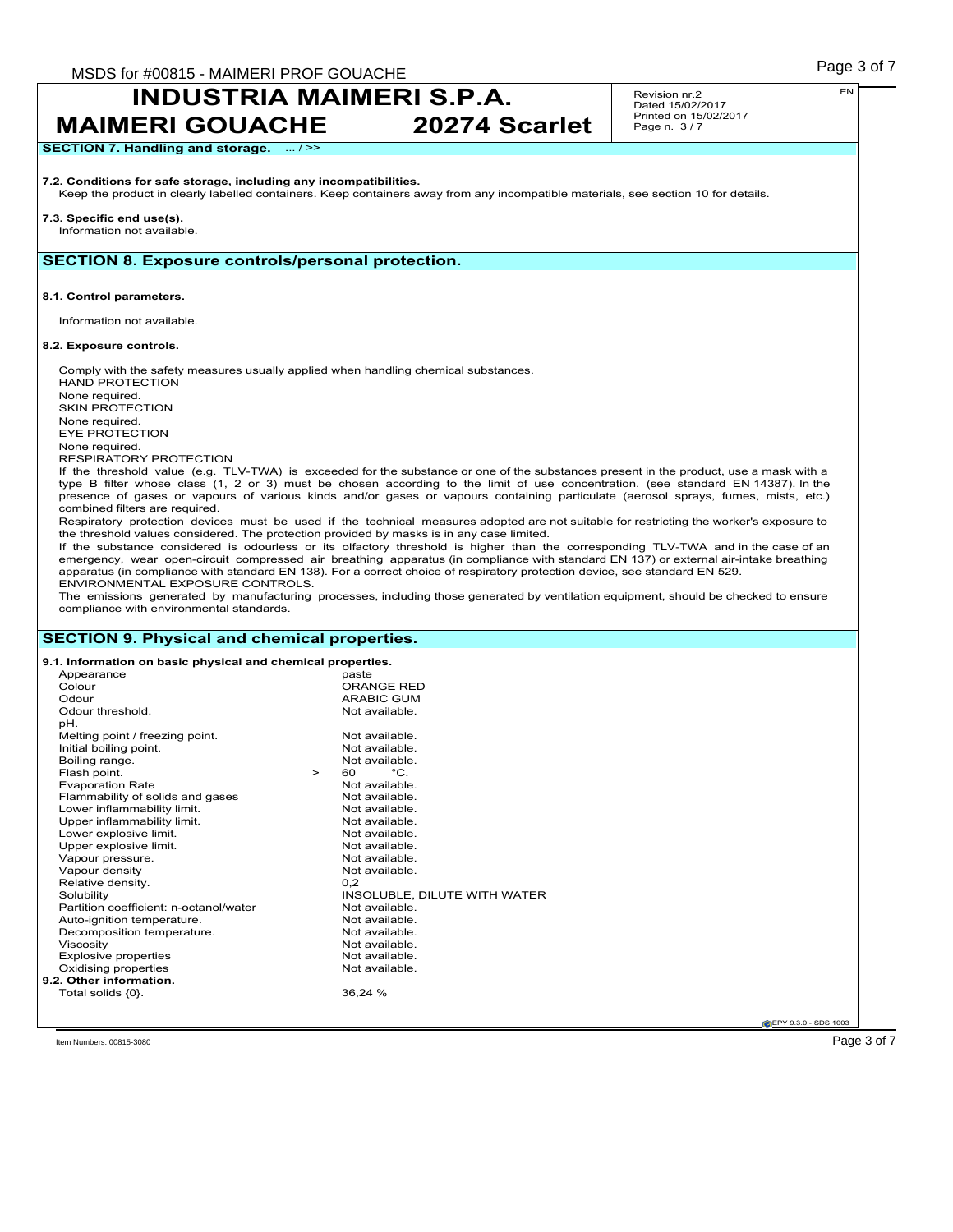## **INDUSTRIA MAIMERI S.P.A. MAIMERI GOUACHE 20274 Scarlet**

Revision nr.2 Dated 15/02/2017 Printed on 15/02/2017 Page n. 3 / 7

### **SECTION 7. Handling and storage.** ... / >>

### **7.2. Conditions for safe storage, including any incompatibilities.**

Keep the product in clearly labelled containers. Keep containers away from any incompatible materials, see section 10 for details.

### **7.3. Specific end use(s).**

Information not available.

### **SECTION 8. Exposure controls/personal protection.**

**8.1. Control parameters.**

Information not available.

#### **8.2. Exposure controls.**

Comply with the safety measures usually applied when handling chemical substances. HAND PROTECTION None required. SKIN PROTECTION None required. EYE PROTECTION None required. RESPIRATORY PROTECTION If the threshold value (e.g. TLV-TWA) is exceeded for the substance or one of the substances present in the product, use a mask with a type B filter whose class (1, 2 or 3) must be chosen according to the limit of use concentration. (see standard EN 14387). In the presence of gases or vapours of various kinds and/or gases or vapours containing particulate (aerosol sprays, fumes, mists, etc.) combined filters are required.

Respiratory protection devices must be used if the technical measures adopted are not suitable for restricting the worker's exposure to the threshold values considered. The protection provided by masks is in any case limited.

If the substance considered is odourless or its olfactory threshold is higher than the corresponding TLV-TWA and in the case of an emergency, wear open-circuit compressed air breathing apparatus (in compliance with standard EN 137) or external air-intake breathing apparatus (in compliance with standard EN 138). For a correct choice of respiratory protection device, see standard EN 529. ENVIRONMENTAL EXPOSURE CONTROLS.

The emissions generated by manufacturing processes, including those generated by ventilation equipment, should be checked to ensure compliance with environmental standards.

### **SECTION 9. Physical and chemical properties.**

| 9.1. Information on basic physical and chemical properties. |                               |
|-------------------------------------------------------------|-------------------------------|
| Appearance                                                  | paste                         |
| Colour                                                      | ORANGE RED                    |
| Odour                                                       | <b>ARABIC GUM</b>             |
| Odour threshold.                                            | Not available.                |
| pH.                                                         |                               |
| Melting point / freezing point.                             | Not available.                |
| Initial boiling point.                                      | Not available.                |
| Boiling range.                                              | Not available.                |
| Flash point.                                                | $^{\circ}$ C.<br>60<br>$\geq$ |
| <b>Evaporation Rate</b>                                     | Not available.                |
| Flammability of solids and gases                            | Not available.                |
| Lower inflammability limit.                                 | Not available.                |
| Upper inflammability limit.                                 | Not available.                |
| Lower explosive limit.                                      | Not available.                |
| Upper explosive limit.                                      | Not available.                |
| Vapour pressure.                                            | Not available.                |
| Vapour density                                              | Not available.                |
| Relative density.                                           | 0.2                           |
| Solubility                                                  | INSOLUBLE, DILUTE WITH WATER  |
| Partition coefficient: n-octanol/water                      | Not available.                |
| Auto-ignition temperature.                                  | Not available.                |
| Decomposition temperature.                                  | Not available.                |
| Viscosity                                                   | Not available.                |
| <b>Explosive properties</b>                                 | Not available.                |
| Oxidising properties                                        | Not available.                |
| 9.2. Other information.                                     |                               |
| Total solids {0}.                                           | 36,24 %                       |

**CEPY 9.3.0 - SDS 1003** 

Item Numbers: 00815-3080  $\sim$  Page 3 of 7  $\sim$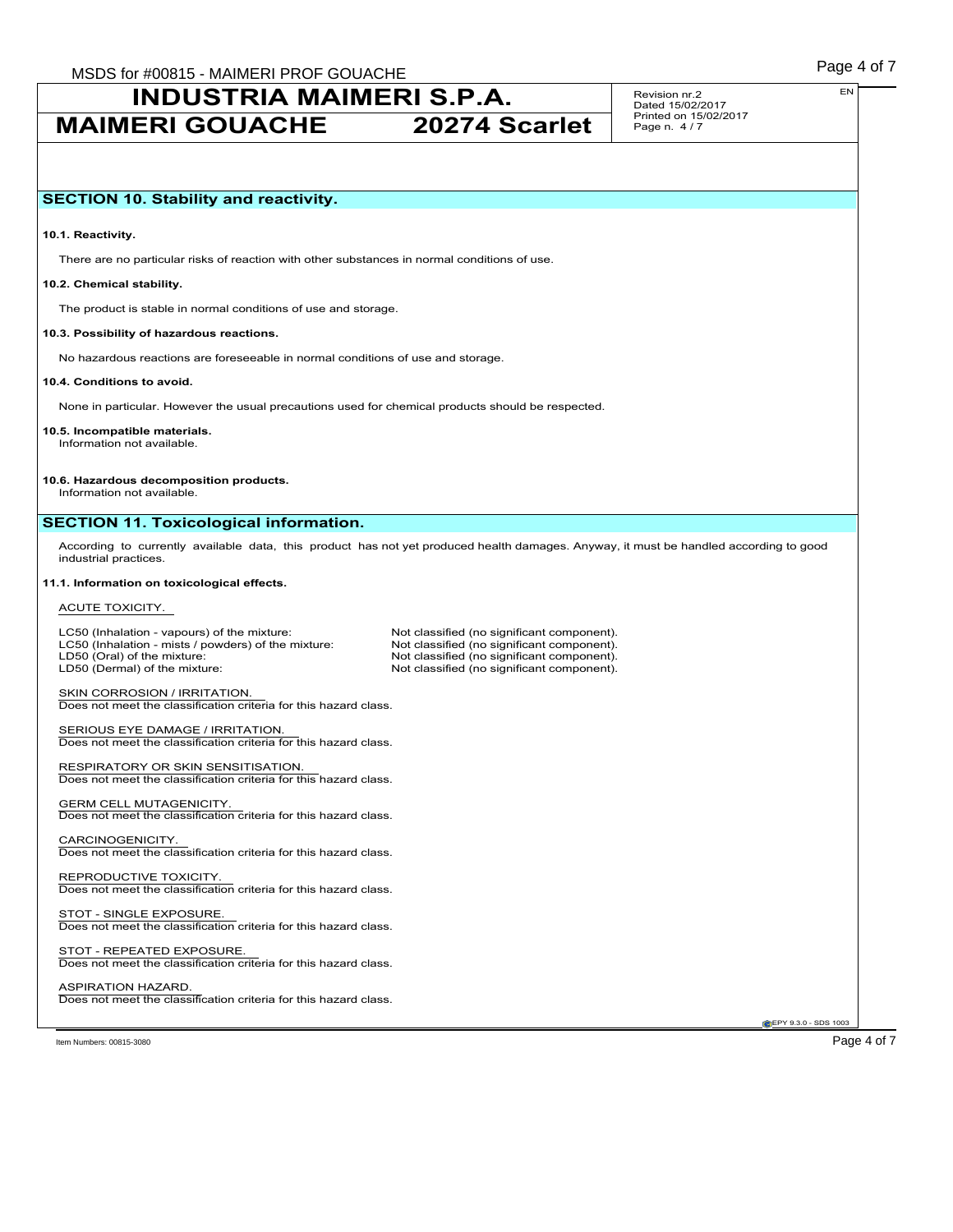**MAIMERI GOUACHE 20274 Scarlet**

Revision nr.2 Dated 15/02/2017 Printed on 15/02/2017 Page n. 4 / 7

#### **10.1. Reactivity.**

There are no particular risks of reaction with other substances in normal conditions of use.

#### **10.2. Chemical stability.**

The product is stable in normal conditions of use and storage.

#### **10.3. Possibility of hazardous reactions.**

No hazardous reactions are foreseeable in normal conditions of use and storage.

### **10.4. Conditions to avoid.**

None in particular. However the usual precautions used for chemical products should be respected.

**10.5. Incompatible materials.** Information not available.

#### **10.6. Hazardous decomposition products.**

Information not available.

### **SECTION 11. Toxicological information.**

According to currently available data, this product has not yet produced health damages. Anyway, it must be handled according to good industrial practices.

#### **11.1. Information on toxicological effects.**

#### ACUTE TOXICITY.

LC50 (Inhalation - vapours) of the mixture: Not classified (no significant component).<br>
LC50 (Inhalation - mists / powders) of the mixture: Not classified (no significant component). LC50 (Inhalation - mists / powders) of the mixture:<br>LD50 (Oral) of the mixture: LD50 (Oral) of the mixture: Not classified (no significant component).<br>
LD50 (Dermal) of the mixture: Not classified (no significant component).

Not classified (no significant component).

SKIN CORROSION / IRRITATION. Does not meet the classification criteria for this hazard class.

SERIOUS EYE DAMAGE / IRRITATION. Does not meet the classification criteria for this hazard class.

RESPIRATORY OR SKIN SENSITISATION. Does not meet the classification criteria for this hazard class.

GERM CELL MUTAGENICITY. Does not meet the classification criteria for this hazard class.

CARCINOGENICITY. Does not meet the classification criteria for this hazard class.

REPRODUCTIVE TOXICITY. Does not meet the classification criteria for this hazard class.

#### STOT - SINGLE EXPOSURE Does not meet the classification criteria for this hazard class.

STOT - REPEATED EXPOSURE. Does not meet the classification criteria for this hazard class.

#### ASPIRATION HAZARD. Does not meet the classification criteria for this hazard class.

**CEPY 9.3.0 - SDS 1003** 

ltem Numbers: 00815-3080  $\sim$  Page 4 of 7  $\sim$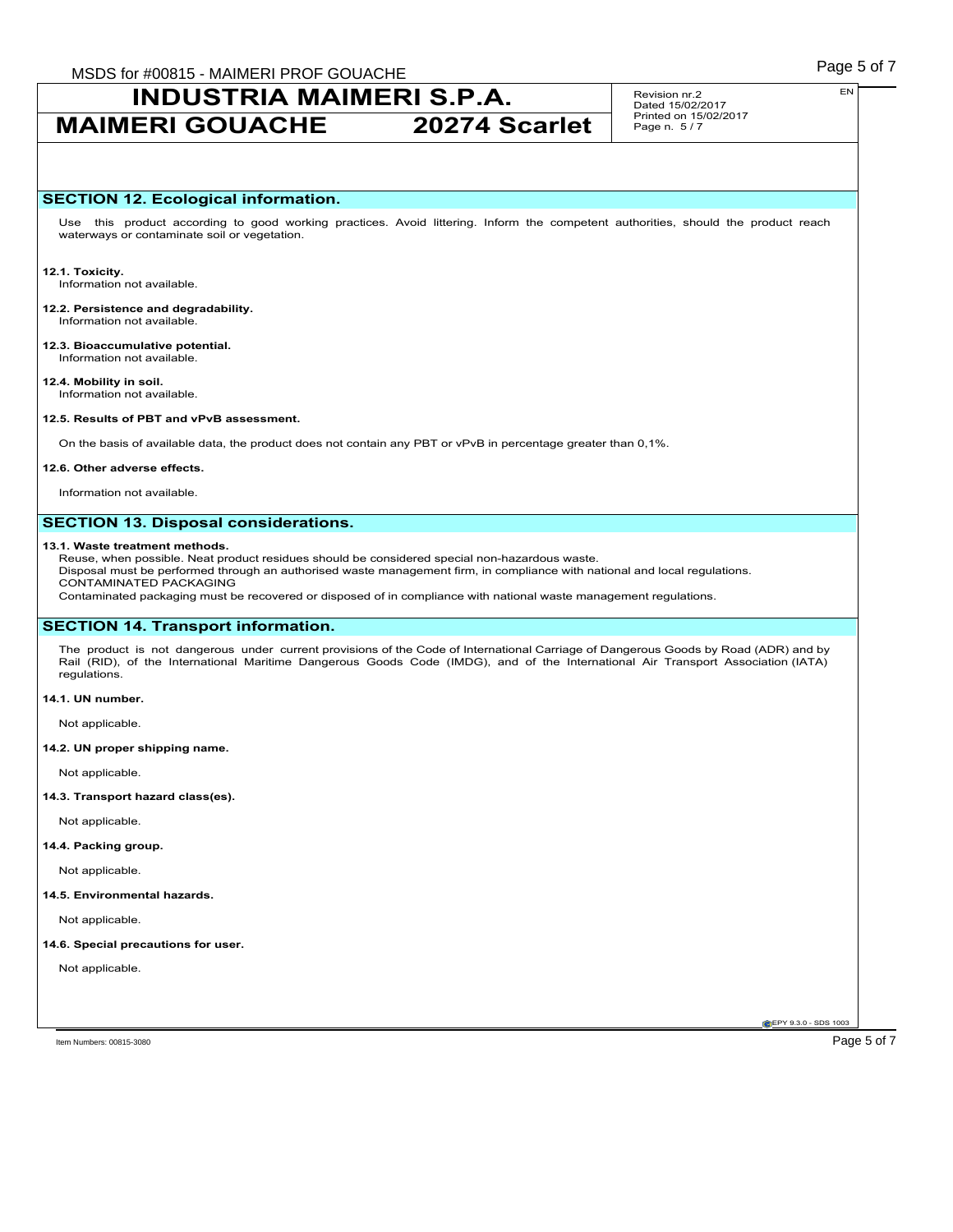## **MAIMERI GOUACHE 20274 Scarlet**

Revision nr.2 Dated 15/02/2017 Printed on 15/02/2017 Page n. 5 / 7

### **SECTION 12. Ecological information.**

Use this product according to good working practices. Avoid littering. Inform the competent authorities, should the product reach waterways or contaminate soil or vegetation.

**12.1. Toxicity.** Information not available.

**12.2. Persistence and degradability.** Information not available.

**12.3. Bioaccumulative potential.** Information not available.

**12.4. Mobility in soil.** Information not available.

#### **12.5. Results of PBT and vPvB assessment.**

On the basis of available data, the product does not contain any PBT or vPvB in percentage greater than 0,1%.

#### **12.6. Other adverse effects.**

Information not available.

### **SECTION 13. Disposal considerations.**

#### **13.1. Waste treatment methods.**

Reuse, when possible. Neat product residues should be considered special non-hazardous waste.

Disposal must be performed through an authorised waste management firm, in compliance with national and local regulations. CONTAMINATED PACKAGING

Contaminated packaging must be recovered or disposed of in compliance with national waste management regulations.

### **SECTION 14. Transport information.**

The product is not dangerous under current provisions of the Code of International Carriage of Dangerous Goods by Road (ADR) and by Rail (RID), of the International Maritime Dangerous Goods Code (IMDG), and of the International Air Transport Association (IATA) regulations.

#### **14.1. UN number.**

Not applicable.

#### **14.2. UN proper shipping name.**

Not applicable.

#### **14.3. Transport hazard class(es).**

Not applicable.

### **14.4. Packing group.**

Not applicable.

#### **14.5. Environmental hazards.**

Not applicable.

### **14.6. Special precautions for user.**

Not applicable.

EN

**CEPY 9.3.0 - SDS 1003**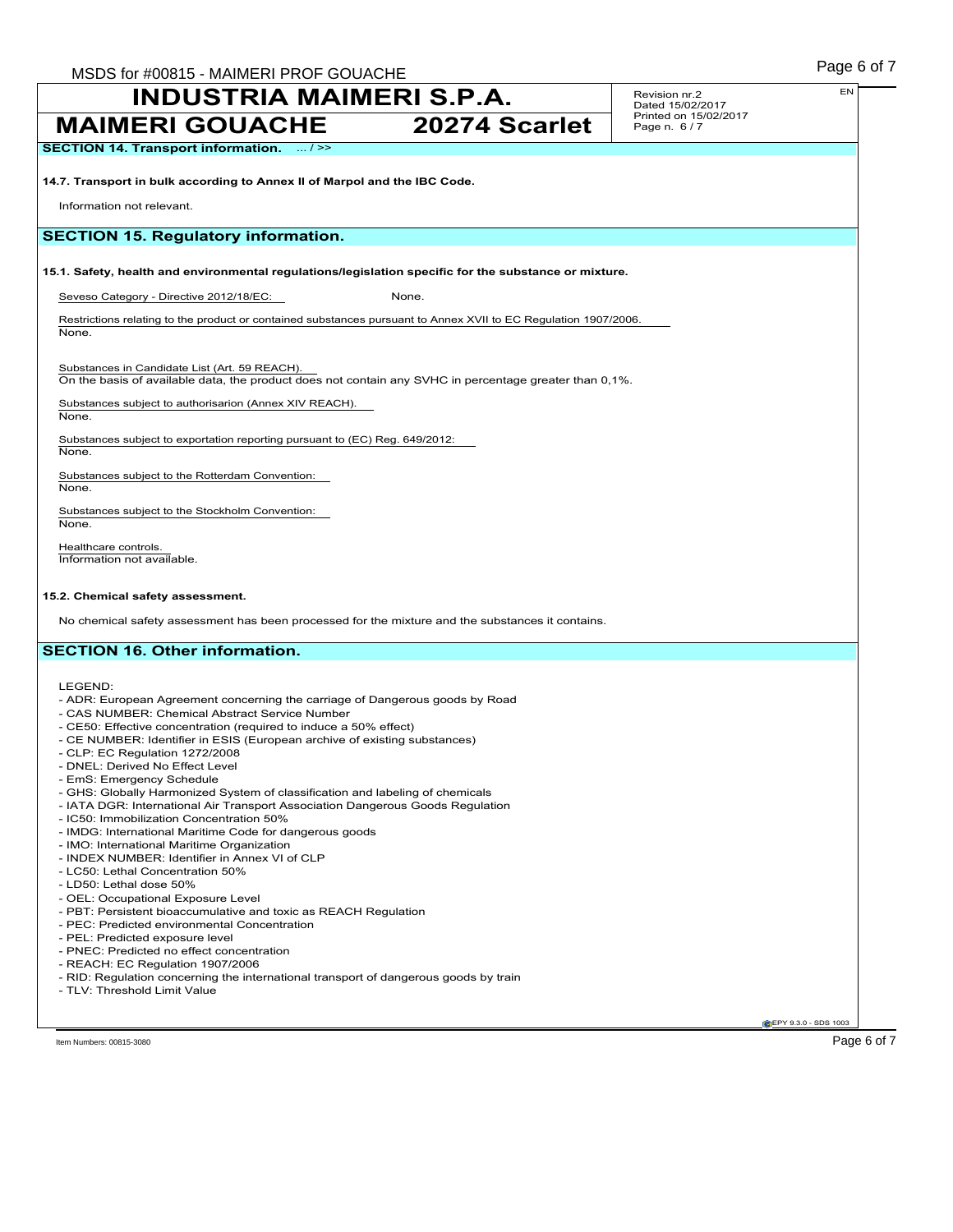**MAIMERI GOUACHE 20274 Scarlet**

Revision nr.2 Dated 15/02/2017 Printed on 15/02/2017 Page n. 6 / 7

**SECTION 14. Transport information.** ... / >>

**14.7. Transport in bulk according to Annex II of Marpol and the IBC Code.**

Information not relevant.

### **SECTION 15. Regulatory information.**

### **15.1. Safety, health and environmental regulations/legislation specific for the substance or mixture.**

Seveso Category - Directive 2012/18/EC: None.

Restrictions relating to the product or contained substances pursuant to Annex XVII to EC Regulation 1907/2006. None.

Substances in Candidate List (Art. 59 REACH).

On the basis of available data, the product does not contain any SVHC in percentage greater than 0,1%.

Substances subject to authorisarion (Annex XIV REACH).

None.

Substances subject to exportation reporting pursuant to (EC) Reg. 649/2012: None.

Substances subject to the Rotterdam Convention: None.

Substances subject to the Stockholm Convention: None.

Healthcare controls. Information not available.

#### **15.2. Chemical safety assessment.**

No chemical safety assessment has been processed for the mixture and the substances it contains.

## **SECTION 16. Other information.**

LEGEND:

- ADR: European Agreement concerning the carriage of Dangerous goods by Road
- CAS NUMBER: Chemical Abstract Service Number
- CE50: Effective concentration (required to induce a 50% effect)
- CE NUMBER: Identifier in ESIS (European archive of existing substances)
- CLP: EC Regulation 1272/2008
- DNEL: Derived No Effect Level
- EmS: Emergency Schedule
- GHS: Globally Harmonized System of classification and labeling of chemicals
- IATA DGR: International Air Transport Association Dangerous Goods Regulation
- IC50: Immobilization Concentration 50%
- IMDG: International Maritime Code for dangerous goods
- IMO: International Maritime Organization
- INDEX NUMBER: Identifier in Annex VI of CLP
- LC50: Lethal Concentration 50%
- LD50: Lethal dose 50%
- OEL: Occupational Exposure Level
- PBT: Persistent bioaccumulative and toxic as REACH Regulation
- PEC: Predicted environmental Concentration
- PEL: Predicted exposure level
- PNEC: Predicted no effect concentration
- REACH: EC Regulation 1907/2006
- RID: Regulation concerning the international transport of dangerous goods by train
- TLV: Threshold Limit Value

**CEPY 9.3.0 - SDS 1003** 

Item Numbers: 00815-3080 Page 6 of 7